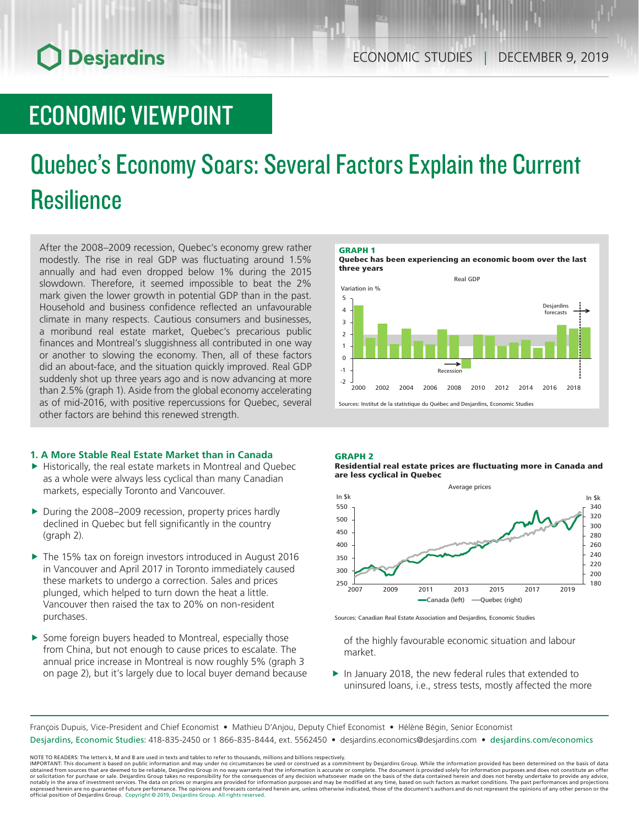## ECONOMIC VIEWPOINT

# Quebec's Economy Soars: Several Factors Explain the Current **Resilience**

After the 2008–2009 recession, Quebec's economy grew rather modestly. The rise in real GDP was fluctuating around 1.5% annually and had even dropped below 1% during the 2015 slowdown. Therefore, it seemed impossible to beat the 2% mark given the lower growth in potential GDP than in the past. Household and business confidence reflected an unfavourable climate in many respects. Cautious consumers and businesses, a moribund real estate market, Quebec's precarious public finances and Montreal's sluggishness all contributed in one way or another to slowing the economy. Then, all of these factors did an about-face, and the situation quickly improved. Real GDP suddenly shot up three years ago and is now advancing at more than 2.5% (graph 1). Aside from the global economy accelerating as of mid-2016, with positive repercussions for Quebec, several other factors are behind this renewed strength.

### **1. A More Stable Real Estate Market than in Canada**

- $\blacktriangleright$  Historically, the real estate markets in Montreal and Quebec as a whole were always less cyclical than many Canadian markets, especially Toronto and Vancouver.
- ▶ During the 2008–2009 recession, property prices hardly declined in Quebec but fell significantly in the country (graph 2).
- ▶ The 15% tax on foreign investors introduced in August 2016 in Vancouver and April 2017 in Toronto immediately caused these markets to undergo a correction. Sales and prices plunged, which helped to turn down the heat a little. Vancouver then raised the tax to 20% on non-resident purchases.
- $\blacktriangleright$  Some foreign buyers headed to Montreal, especially those from China, but not enough to cause prices to escalate. The annual price increase in Montreal is now roughly 5% (graph 3 on page 2), but it's largely due to local buyer demand because



#### GRAPH 2

Residential real estate prices are fluctuating more in Canada and are less cyclical in Quebec



Sources: Canadian Real Estate Association and Desjardins, Economic Studies

of the highly favourable economic situation and labour market.

 $\blacktriangleright$  In January 2018, the new federal rules that extended to uninsured loans, i.e., stress tests, mostly affected the more

François Dupuis, Vice-President and Chief Economist • Mathieu D'Anjou, Deputy Chief Economist • Hélène Bégin, Senior Economist

Desjardins, Economic Studies: 418-835-2450 or 1 866-835-8444, ext. 5562450 • desjardins.economics@desjardins.com • desjardins.com/economics

NOTE TO READERS: The letters k, M and B are used in texts and tables to refer to thousands, millions and billions respectively.<br>IMPORTANT: This document is based on public information and may under no circumstances be used obtained from sources that are deemed to be reliable, Desjardins Group in no way warrants that the information is accurate or complete. The document is provided solely for information purposes and does not constitute an of official position of Desjardins Group. Copyright © 2019, Desjardins Group. All rights reserved.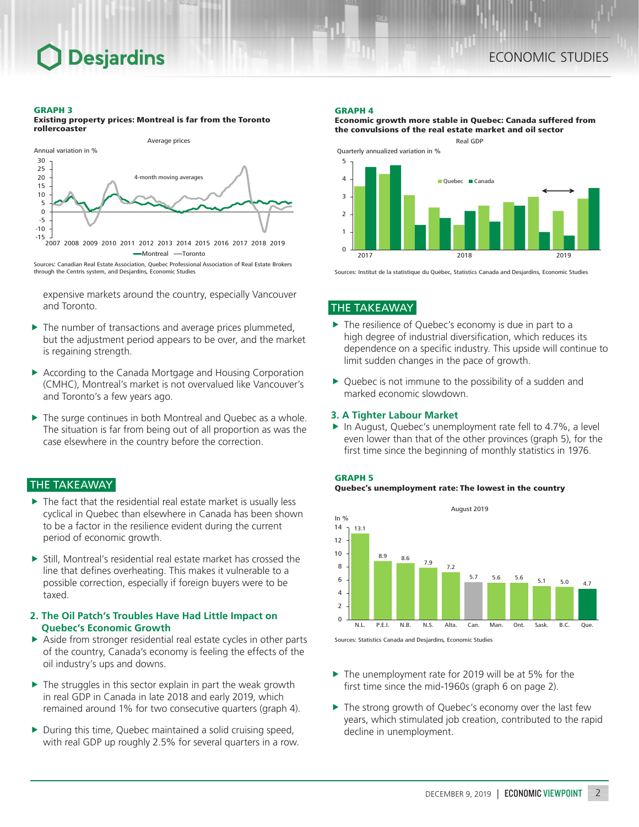#### GRAPH 3

Existing property prices: Montreal is far from the Toronto rollercoaster



Sources: Canadian Real Estate Association, Quebec Professional Association of Real Estate Brokers through the Centris system, and Desjardins, Economic Studies

expensive markets around the country, especially Vancouver and Toronto.

- $\blacktriangleright$  The number of transactions and average prices plummeted, but the adjustment period appears to be over, and the market is regaining strength.
- ▶ According to the Canada Mortgage and Housing Corporation (CMHC), Montreal's market is not overvalued like Vancouver's and Toronto's a few years ago.
- $\blacktriangleright$  The surge continues in both Montreal and Quebec as a whole. The situation is far from being out of all proportion as was the case elsewhere in the country before the correction.

## THE TAKEAWAY

- $\triangleright$  The fact that the residential real estate market is usually less cyclical in Quebec than elsewhere in Canada has been shown to be a factor in the resilience evident during the current period of economic growth.
- $\triangleright$  Still, Montreal's residential real estate market has crossed the line that defines overheating. This makes it vulnerable to a possible correction, especially if foreign buyers were to be taxed.

### **2. The Oil Patch's Troubles Have Had Little Impact on Quebec's Economic Growth**

- $\triangleright$  Aside from stronger residential real estate cycles in other parts of the country, Canada's economy is feeling the effects of the oil industry's ups and downs.
- $\triangleright$  The struggles in this sector explain in part the weak growth in real GDP in Canada in late 2018 and early 2019, which remained around 1% for two consecutive quarters (graph 4).
- $\triangleright$  During this time, Quebec maintained a solid cruising speed, with real GDP up roughly 2.5% for several quarters in a row.

#### GRAPH 4



Economic growth more stable in Quebec: Canada suffered from

2017 2018 2019 Sources: Institut de la statistique du Québec, Statistics Canada and Desjardins, Economic Studies

## THE TAKEAWAY

- $\blacktriangleright$  The resilience of Quebec's economy is due in part to a high degree of industrial diversification, which reduces its dependence on a specific industry. This upside will continue to limit sudden changes in the pace of growth.
- $\triangleright$  Quebec is not immune to the possibility of a sudden and marked economic slowdown.

## **3. A Tighter Labour Market**

 $\blacktriangleright$  In August, Quebec's unemployment rate fell to 4.7%, a level even lower than that of the other provinces (graph 5), for the first time since the beginning of monthly statistics in 1976.







- $\blacktriangleright$  The unemployment rate for 2019 will be at 5% for the first time since the mid-1960s (graph 6 on page 2).
- $\blacktriangleright$  The strong growth of Quebec's economy over the last few years, which stimulated job creation, contributed to the rapid decline in unemployment.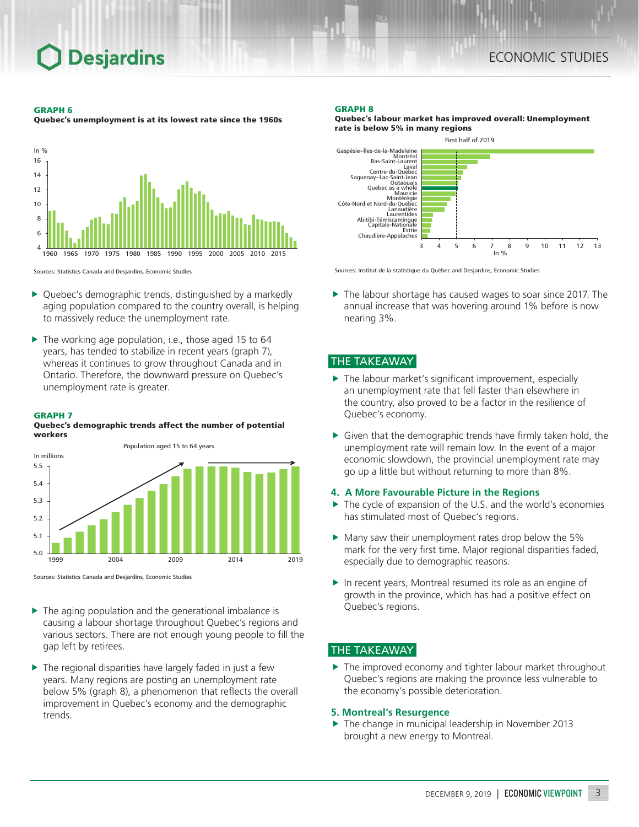#### GRAPH 6

Quebec's unemployment is at its lowest rate since the 1960s



Sources: Statistics Canada and Desjardins, Economic Studies

- $\triangleright$  Quebec's demographic trends, distinguished by a markedly aging population compared to the country overall, is helping to massively reduce the unemployment rate.
- $\blacktriangleright$  The working age population, i.e., those aged 15 to 64 years, has tended to stabilize in recent years (graph 7), whereas it continues to grow throughout Canada and in Ontario. Therefore, the downward pressure on Quebec's unemployment rate is greater.

### GRAPH 7

### Quebec's demographic trends affect the number of potential workers



Sources: Statistics Canada and Desjardins, Economic Studies

- $\blacktriangleright$  The aging population and the generational imbalance is causing a labour shortage throughout Quebec's regions and various sectors. There are not enough young people to fill the gap left by retirees.
- $\blacktriangleright$  The regional disparities have largely faded in just a few years. Many regions are posting an unemployment rate below 5% (graph 8), a phenomenon that reflects the overall improvement in Quebec's economy and the demographic trends.

### GRAPH 8

Quebec's labour market has improved overall: Unemployment rate is below 5% in many regions



Sources: Institut de la statistique du Québec and Desjardins, Economic Studies

 $\blacktriangleright$  The labour shortage has caused wages to soar since 2017. The annual increase that was hovering around 1% before is now nearing 3%.

## THE TAKEAWAY

- $\blacktriangleright$  The labour market's significant improvement, especially an unemployment rate that fell faster than elsewhere in the country, also proved to be a factor in the resilience of Quebec's economy.
- $\blacktriangleright$  Given that the demographic trends have firmly taken hold, the unemployment rate will remain low. In the event of a major economic slowdown, the provincial unemployment rate may go up a little but without returning to more than 8%.

## **4. A More Favourable Picture in the Regions**

- $\triangleright$  The cycle of expansion of the U.S. and the world's economies has stimulated most of Quebec's regions.
- $\blacktriangleright$  Many saw their unemployment rates drop below the 5% mark for the very first time. Major regional disparities faded, especially due to demographic reasons.
- $\blacktriangleright$  In recent years, Montreal resumed its role as an engine of growth in the province, which has had a positive effect on Quebec's regions.

## THE TAKEAWAY

 $\blacktriangleright$  The improved economy and tighter labour market throughout Quebec's regions are making the province less vulnerable to the economy's possible deterioration.

## **5. Montreal's Resurgence**

 $\blacktriangleright$  The change in municipal leadership in November 2013 brought a new energy to Montreal.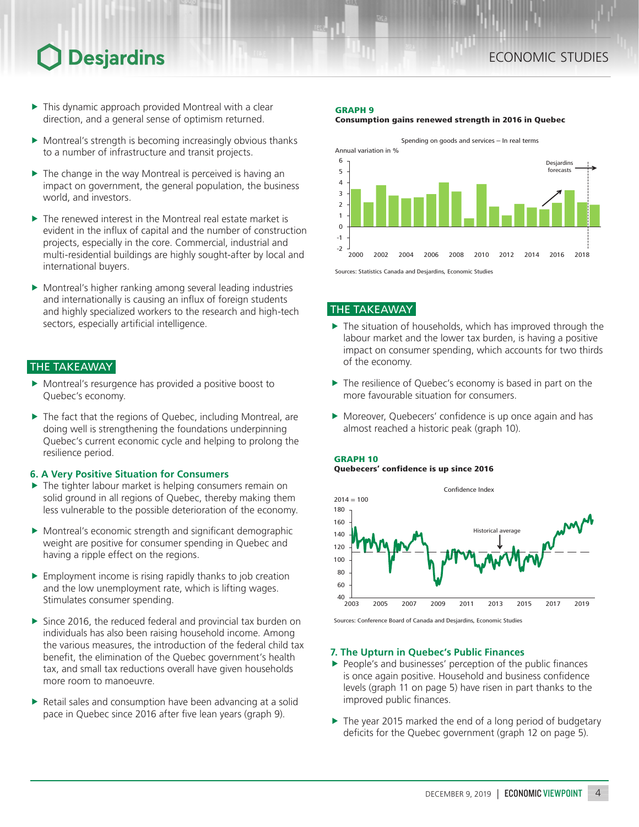- $\blacktriangleright$  This dynamic approach provided Montreal with a clear direction, and a general sense of optimism returned.
- $\blacktriangleright$  Montreal's strength is becoming increasingly obvious thanks to a number of infrastructure and transit projects.
- $\blacktriangleright$  The change in the way Montreal is perceived is having an impact on government, the general population, the business world, and investors.
- $\blacktriangleright$  The renewed interest in the Montreal real estate market is evident in the influx of capital and the number of construction projects, especially in the core. Commercial, industrial and multi-residential buildings are highly sought-after by local and international buyers.
- $\blacktriangleright$  Montreal's higher ranking among several leading industries and internationally is causing an influx of foreign students and highly specialized workers to the research and high-tech sectors, especially artificial intelligence.

## THE TAKEAWAY

- $\blacktriangleright$  Montreal's resurgence has provided a positive boost to Quebec's economy.
- $\blacktriangleright$  The fact that the regions of Quebec, including Montreal, are doing well is strengthening the foundations underpinning Quebec's current economic cycle and helping to prolong the resilience period.

## **6. A Very Positive Situation for Consumers**

- $\blacktriangleright$  The tighter labour market is helping consumers remain on solid ground in all regions of Quebec, thereby making them less vulnerable to the possible deterioration of the economy.
- $\blacktriangleright$  Montreal's economic strength and significant demographic weight are positive for consumer spending in Quebec and having a ripple effect on the regions.
- $\blacktriangleright$  Employment income is rising rapidly thanks to job creation and the low unemployment rate, which is lifting wages. Stimulates consumer spending.
- $\triangleright$  Since 2016, the reduced federal and provincial tax burden on individuals has also been raising household income. Among the various measures, the introduction of the federal child tax benefit, the elimination of the Quebec government's health tax, and small tax reductions overall have given households more room to manoeuvre.
- $\blacktriangleright$  Retail sales and consumption have been advancing at a solid pace in Quebec since 2016 after five lean years (graph 9).

#### GRAPH 9





THE TAKEAWAY

- $\blacktriangleright$  The situation of households, which has improved through the labour market and the lower tax burden, is having a positive impact on consumer spending, which accounts for two thirds of the economy.
- $\blacktriangleright$  The resilience of Quebec's economy is based in part on the more favourable situation for consumers.
- $\blacktriangleright$  Moreover, Quebecers' confidence is up once again and has almost reached a historic peak (graph 10).





Sources: Conference Board of Canada and Desjardins, Economic Studies

### **7. The Upturn in Quebec's Public Finances**

- $\blacktriangleright$  People's and businesses' perception of the public finances is once again positive. Household and business confidence levels (graph 11 on page 5) have risen in part thanks to the improved public finances.
- $\blacktriangleright$  The year 2015 marked the end of a long period of budgetary deficits for the Quebec government (graph 12 on page 5).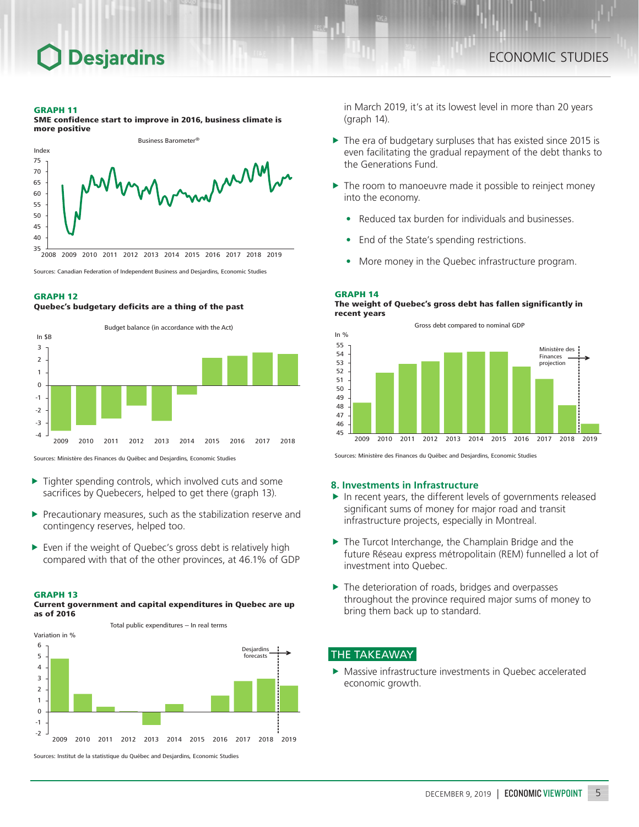#### GRAPH 11

SME confidence start to improve in 2016, business climate is more positive



Sources: Canadian Federation of Independent Business and Desjardins, Economic Studies

#### GRAPH 12

#### Quebec's budgetary deficits are a thing of the past



Sources: Ministère des Finances du Québec and Desjardins, Economic Studies

- $\blacktriangleright$  Tighter spending controls, which involved cuts and some sacrifices by Quebecers, helped to get there (graph 13).
- $\blacktriangleright$  Precautionary measures, such as the stabilization reserve and contingency reserves, helped too.
- $\triangleright$  Even if the weight of Quebec's gross debt is relatively high compared with that of the other provinces, at 46.1% of GDP
- GRAPH 13

#### Current government and capital expenditures in Quebec are up as of 2016



in March 2019, it's at its lowest level in more than 20 years (graph 14).

- $\triangleright$  The era of budgetary surpluses that has existed since 2015 is even facilitating the gradual repayment of the debt thanks to the Generations Fund.
- $\blacktriangleright$  The room to manoeuvre made it possible to reinject money into the economy.
	- Reduced tax burden for individuals and businesses.
	- End of the State's spending restrictions.
	- More money in the Quebec infrastructure program.

#### GRAPH 14

#### The weight of Quebec's gross debt has fallen significantly in recent years



Sources: Ministère des Finances du Québec and Desjardins, Economic Studies

#### **8. Investments in Infrastructure**

- $\blacktriangleright$  In recent years, the different levels of governments released significant sums of money for major road and transit infrastructure projects, especially in Montreal.
- $\blacktriangleright$  The Turcot Interchange, the Champlain Bridge and the future Réseau express métropolitain (REM) funnelled a lot of investment into Quebec.
- $\blacktriangleright$  The deterioration of roads, bridges and overpasses throughout the province required major sums of money to bring them back up to standard.

## THE TAKEAWAY

 $\blacktriangleright$  Massive infrastructure investments in Quebec accelerated economic growth.